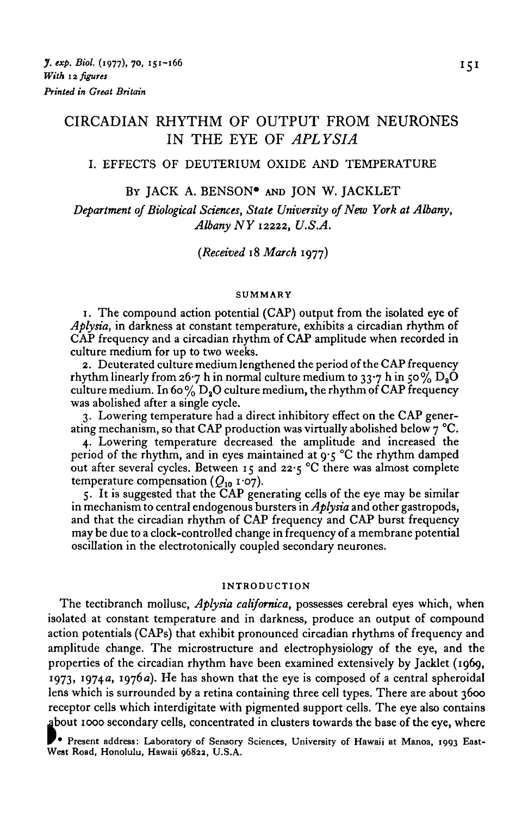# CIRCADIAN RHYTHM OF OUTPUT FROM NEURONES IN THE EYE OF *APLYSIA*

## I. EFFECTS OF DEUTERIUM OXIDE AND TEMPERATURE

#### BY JACK A. BENSON\* AND JON W. JACKLET

*Department 0/Biological Sciences, State University of New York at Albany, Albany NY 12222, U.S.A.*

*(Received* 18 *March* 1977)

#### **SUMMARY**

1. The compound action potential (CAP) output from the isolated eye of *Aplysia,* in darkness at constant temperature, exhibits a circadian rhythm of CAP frequency and a circadian rhythm of CAP amplitude when recorded in culture medium for up to two weeks.

2. Deuterated culture medium lengthened the period of the CAP frequency rhythm linearly from 26.7 h in normal culture medium to 33.7 h in 50%  $D_8O$ culture medium. In 60%  $D_2O$  culture medium, the rhythm of CAP frequency was abolished after a single cycle.

3. Lowering temperature had a direct inhibitory effect on the CAP generating mechanism, so that CAP production was virtually abolished below  $7^{\circ}$ C.

4. Lowering temperature decreased the amplitude and increased the period of the rhythm, and in eyes maintained at 9-5 °C the rhythm damped out after several cycles. Between 15 and 22-5 °C there was almost complete temperature compensation *(Q10* 1-07).

5. It is suggested that the CAP generating cells of the eye may be similar in mechanism to central endogenous bursters in *Aplysia* and other gastropods, and that the circadian rhythm of CAP frequency and CAP burst frequency may be due to a clock-controlled change in frequency of a membrane potential oscillation in the electrotonically coupled secondary neurones.

### **INTRODUCTION**

The tectibranch mollusc, *Aplysia californica,* possesses cerebral eyes which, when isolated at constant temperature and in darkness, produce an output of compound action potentials (CAPs) that exhibit pronounced circadian rhythms of frequency and amplitude change. The microstructure and electrophysiology of the eye, and the properties of the circadian rhythm have been examined extensively by Jacklet (1969, 1973, 1974 a, 1976 a). He has shown that the eye is composed of a central spheroidal lens which is surrounded by a retina containing three cell types. There are about 3600 receptor cells which interdigitate with pigmented support cells. The eye also contains about 1000 secondary cells, concentrated in clusters towards the base of the eye, where

**• Present address: Laboratory of Sensory Sciences, University of Hawaii at Manoa, 1993 East- West Road, Honolulu, Hawaii o68aa, U.S.A.**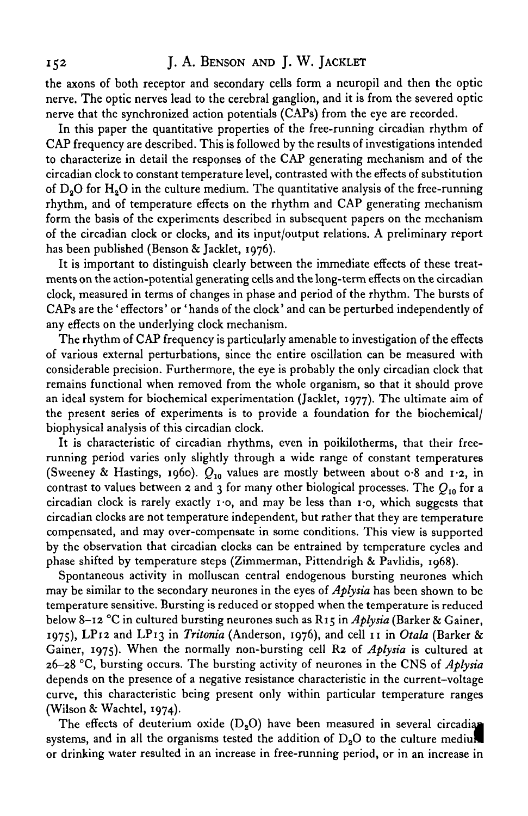## 152 J. A. BENSON AND J. W. JACKLET

the axons of both receptor and secondary cells form a neuropil and then the optic nerve. The optic nerves lead to the cerebral ganglion, and it is from the severed optic nerve that the synchronized action potentials (CAPs) from the eye are recorded.

In this paper the quantitative properties of the free-running circadian rhythm of CAP frequency are described. This is followed by the results of investigations intended to characterize in detail the responses of the CAP generating mechanism and of the circadian clock to constant temperature level, contrasted with the effects of substitution of  $D<sub>0</sub>O$  for  $H<sub>0</sub>O$  in the culture medium. The quantitative analysis of the free-running rhythm, and of temperature effects on the rhythm and CAP generating mechanism form the basis of the experiments described in subsequent papers on the mechanism of the circadian clock or clocks, and its input/output relations. A preliminary report has been published (Benson & Jacklet, 1976).

It is important to distinguish clearly between the immediate effects of these treatments on the action-potential generating cells and the long-term effects on the circadian clock, measured in terms of changes in phase and period of the rhythm. The bursts of CAPs are the 'effectors' or 'hands of the clock' and can be perturbed independently of any effects on the underlying clock mechanism.

The rhythm of CAP frequency is particularly amenable to investigation of the effects of various external perturbations, since the entire oscillation can be measured with considerable precision. Furthermore, the eye is probably the only circadian clock that remains functional when removed from the whole organism, so that it should prove an ideal system for biochemical experimentation (Jacklet, 1977). The ultimate aim of the present series of experiments is to provide a foundation for the biochemical/ biophysical analysis of this circadian clock.

It is characteristic of circadian rhythms, even in poikilotherms, that their freerunning period varies only slightly through a wide range of constant temperatures (Sweeney & Hastings, 1960).  $Q_{10}$  values are mostly between about 0.8 and 1.2, in contrast to values between 2 and 3 for many other biological processes. The *Q10* for a circadian clock is rarely exactly  $\mathbf{r} \cdot \mathbf{o}$ , and may be less than  $\mathbf{r} \cdot \mathbf{o}$ , which suggests that circadian clocks are not temperature independent, but rather that they are temperature compensated, and may over-compensate in some conditions. This view is supported by the observation that circadian clocks can be entrained by temperature cycles and phase shifted by temperature steps (Zimmerman, Pittendrigh & Pavlidis, 1968).

Spontaneous activity in molluscan central endogenous bursting neurones which may be similar to the secondary neurones in the eyes of *Aplysia* has been shown to be temperature sensitive. Bursting is reduced or stopped when the temperature is reduced below 8-12 °C in cultured bursting neurones such as R15 in *Aplysia* (Barker & Gainer, 1975), LP12 and LP13 in *Tritonia* (Anderson, 1976), and cell 11 in *Otala* (Barker & Gainer, 1975). When the normally non-bursting cell R2 of *Aplysia* is cultured at 26-28 °C, bursting occurs. The bursting activity of neurones in the CNS of *Aplysia* depends on the presence of a negative resistance characteristic in the current-voltage curve, this characteristic being present only within particular temperature ranges (Wilson & Wachtel, 1974).

The effects of deuterium oxide  $(D_2O)$  have been measured in several circadian systems, and in all the organisms tested the addition of  $D_2O$  to the culture medium or drinking water resulted in an increase in free-running period, or in an increase in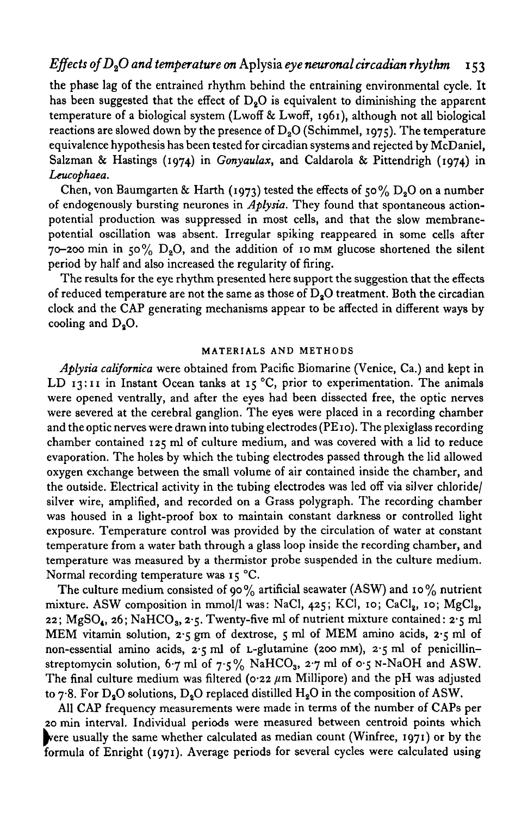## *Effects ofD20 and temperature on* Aplysia *eye neuronal circadian rhythm* 153

the phase lag of the entrained rhythm behind the entraining environmental cycle. It has been suggested that the effect of  $D<sub>2</sub>O$  is equivalent to diminishing the apparent temperature of a biological system (Lwoff & Lwoff, 1961), although not all biological reactions are slowed down by the presence of  $D_2O$  (Schimmel, 1975). The temperature equivalence hypothesis has been tested for circadian systems and rejected by McDaniel, Salzman & Hastings (1974) in *Gonyaulax,* and Caldarola & Pittendrigh (1974) in *Leucophaea.*

Chen, von Baumgarten & Harth (1973) tested the effects of 50%  $D_2O$  on a number of endogenously bursting neurones in *Aplysia.* They found that spontaneous actionpotential production was suppressed in most cells, and that the slow membranepotential oscillation was absent. Irregular spiking reappeared in some cells after 70-200 min in 50%  $D_2O$ , and the addition of 10 mm glucose shortened the silent period by half and also increased the regularity of firing.

The results for the eye rhythm presented here support the suggestion that the effects of reduced temperature are not the same as those of  $D<sub>2</sub>O$  treatment. Both the circadian clock and the CAP generating mechanisms appear to be affected in different ways by cooling and  $D_2O$ .

#### **MATERIALS AND METHODS**

*Aplysia californica* were obtained from Pacific Biomarine (Venice, Ca.) and kept in LD 13:11 in Instant Ocean tanks at 15 °C, prior to experimentation. The animals were opened ventrally, and after the eyes had been dissected free, the optic nerves were severed at the cerebral ganglion. The eyes were placed in a recording chamber and the optic nerves were drawn into tubing electrodes (PE10). The plexiglass recording chamber contained 125 ml of culture medium, and was covered with a lid to reduce evaporation. The holes by which the tubing electrodes passed through the lid allowed oxygen exchange between the small volume of air contained inside the chamber, and the outside. Electrical activity in the tubing electrodes was led off via silver chloride/ silver wire, amplified, and recorded on a Grass polygraph. The recording chamber was housed in a light-proof box to maintain constant darkness or controlled light exposure. Temperature control was provided by the circulation of water at constant temperature from a water bath through a glass loop inside the recording chamber, and temperature was measured by a thermistor probe suspended in the culture medium. Normal recording temperature was 15 °C.

The culture medium consisted of 90% artificial seawater (ASW) and 10% nutrient mixture. ASW composition in mmol/l was: NaCl, 425; KCl, 10; CaCl<sub>2</sub>, 10; MgCl<sub>2</sub>, 22;  $MgSO_4$ , 26; NaHCO<sub>3</sub>, 2.5. Twenty-five ml of nutrient mixture contained: 2.5 ml MEM vitamin solution, 2-5 gm of dextrose, 5 ml of MEM amino acids, 2-5 ml of non-essential amino acids,  $2.5$  ml of L-glutamine (200 mM),  $2.5$  ml of penicillinstreptomycin solution, 6.7 ml of 7.5% NaHCO<sub>3</sub>, 2.7 ml of 0.5 N-NaOH and ASW. The final culture medium was filtered ( $\sigma$ -22  $\mu$ m Millipore) and the pH was adjusted to  $7.8$ . For D<sub>2</sub>O solutions, D<sub>2</sub>O replaced distilled H<sub>2</sub>O in the composition of ASW.

All CAP frequency measurements were made in terms of the number of CAPs per 20 min interval. Individual periods were measured between centroid points which ^vere usually the same whether calculated as median count (Winfree, 1971) or by the formula of Enright (1971). Average periods for several cycles were calculated using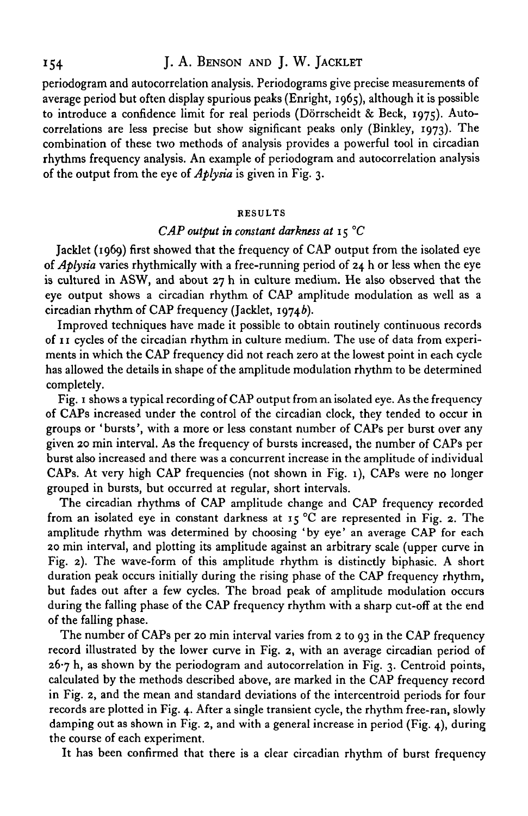# 154 J. A. BENSON AND J. W. JACKLET

periodogram and autocorrelation analysis. Periodograms give precise measurements of average period but often display spurious peaks (Enright, 1965), although it is possible to introduce a confidence limit for real periods (Dörrscheidt & Beck, 1975). Autocorrelations are less precise but show significant peaks only (Binkley, 1973). The combination of these two methods of analysis provides a powerful tool in circadian rhythms frequency analysis. An example of periodogram and autocorrelation analysis of the output from the eye of *Aplysia* is given in Fig. 3.

#### **RESULTS**

## *CAP output in constant darkness at* 15 *°C*

Jacklet (1969) first showed that the frequency of CAP output from the isolated eye of *Aplysia* varies rhythmically with a free-running period of 24 h or less when the eye is cultured in ASW, and about 27 h in culture medium. He also observed that the eye output shows a circadian rhythm of CAP amplitude modulation as well as a circadian rhythm of CAP frequency (Jacklet, 19746).

Improved techniques have made it possible to obtain routinely continuous records of 11 cycles of the circadian rhythm in culture medium. The use of data from experiments in which the CAP frequency did not reach zero at the lowest point in each cycle has allowed the details in shape of the amplitude modulation rhythm to be determined completely.

Fig. 1 shows a typical recording of CAP output from an isolated eye. As the frequency of CAPs increased under the control of the circadian clock, they tended to occur in groups or 'bursts', with a more or less constant number of CAPs per burst over any given 20 min interval. As the frequency of bursts increased, the number of CAPs per burst also increased and there was a concurrent increase in the amplitude of individual CAPs. At very high CAP frequencies (not shown in Fig. 1), CAPs were no longer grouped in bursts, but occurred at regular, short intervals.

The circadian rhythms of CAP amplitude change and CAP frequency recorded from an isolated eye in constant darkness at 15  $\degree$ C are represented in Fig. 2. The amplitude rhythm was determined by choosing 'by eye' an average CAP for each 20 min interval, and plotting its amplitude against an arbitrary scale (upper curve in Fig. 2). The wave-form of this amplitude rhythm is distinctly biphasic. A short duration peak occurs initially during the rising phase of the CAP frequency rhythm, but fades out after a few cycles. The broad peak of amplitude modulation occurs during the falling phase of the CAP frequency rhythm with a sharp cut-off at the end of the falling phase.

The number of CAPs per 20 min interval varies from 2 to 93 in the CAP frequency record illustrated by the lower curve in Fig. 2, with an average circadian period of  $26.7$  h, as shown by the periodogram and autocorrelation in Fig. 3. Centroid points, calculated by the methods described above, are marked in the CAP frequency record in Fig. 2, and the mean and standard deviations of the intercentroid periods for four records are plotted in Fig. 4. After a single transient cycle, the rhythm free-ran, slowly damping out as shown in Fig. 2, and with a general increase in period (Fig. 4), during the course of each experiment.

It has been confirmed that there is a clear circadian rhythm of burst frequency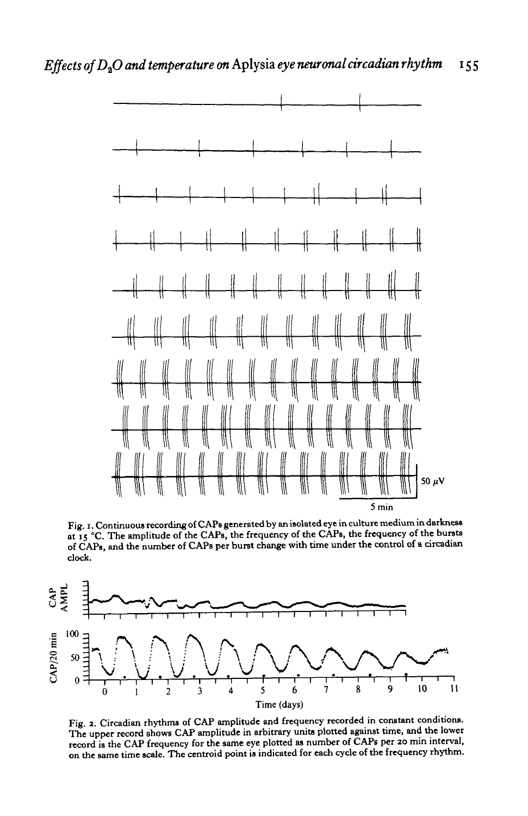

**Fig. i. Continuous recording of CAPs generated by an isolated eye in culture medium in darkness at 15 °C. The amplitude of the CAPs, the frequency of the CAPs, the frequency of the bursts of CAPs, and the number of CAPs per burst change with time under the control of a circadian clock.**



**Fig. 2. Circadian rhythms of CAP amplitude and frequency recorded in constant conditions. The upper record shows CAP amplitude in arbitrary units plotted against time, and the lower record is the CAP frequency for the same eye plotted as number of CAPs per 20 min interval, on the same time scale. The centroid point is indicated for each cycle of the frequency rhythm.**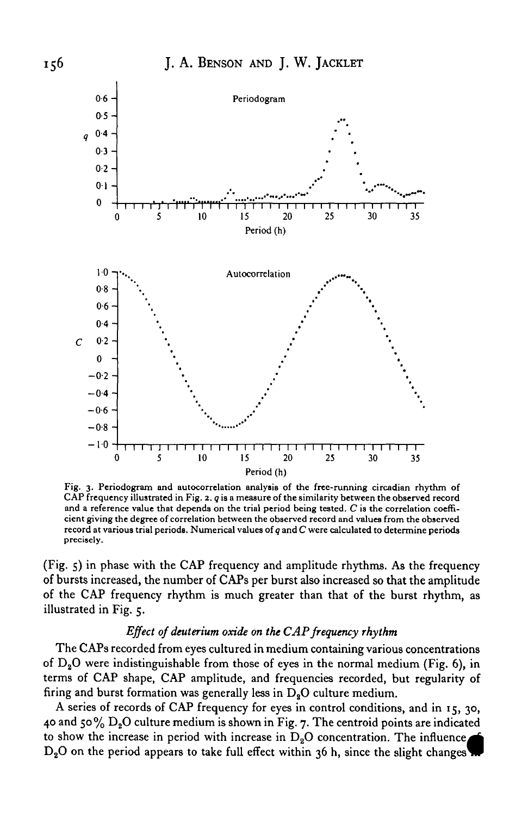

Fig. 3. Periodogram and autocorrelation analysis of the free-running circadian rhythm of CAP frequency illustrated in Fig. 2. *q* is a measure of the similarity between the observed record and a reference value that depends on the trial period being tested. *C* is the correlation coefficient giving the degree of correlation between the observed record and values from the observed record at various trial periods. Numerical values of *g* and *C* were calculated to determine periods **precisely.**

(Fig. 5) in phase with the CAP frequency and amplitude rhythms. As the frequency of bursts increased, the number of CAPs per burst also increased so that the amplitude of the CAP frequency rhythm is much greater than that of the burst rhythm, as illustrated in Fig. 5.

## *Effect of deuterium oxide on the CAP frequency rhythm*

The CAPs recorded from eyes cultured in medium containing various concentrations of  $D_2O$  were indistinguishable from those of eyes in the normal medium (Fig. 6), in terms of CAP shape, CAP amplitude, and frequencies recorded, but regularity of firing and burst formation was generally less in  $D_8O$  culture medium.

A series of records of CAP frequency for eyes in control conditions, and in 15, 30, 40 and 50%  $D_2O$  culture medium is shown in Fig. 7. The centroid points are indicated to show the increase in period with increase in  $D_2O$  concentration. The influence,  $D_2O$  on the period appears to take full effect within 36 h, since the slight changes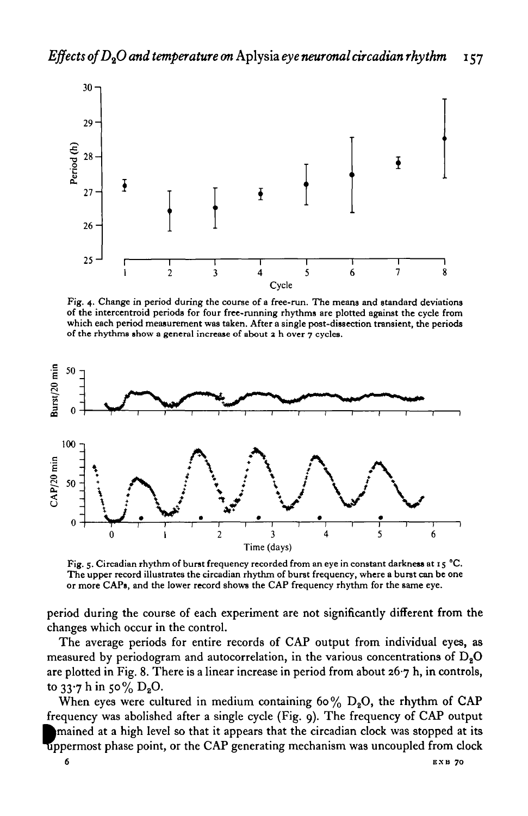

Fig. 4. Change in period during the course of a free-run. The means and standard deviations of the intercentroid periods for four free-running rhythms are plotted against the cycle from which each period measurement was t



Fig. 5. Circadian rhythm of burst frequency recorded from an eye in constant darkness at 15 °C. The upper record illustrates the circadian rhythm of burst frequency, where a burst can be one or more CAPs, and the lower record shows the CAP frequency rhythm for the same eye.

period during the course of each experiment are not significantly different from the changes which occur in the control.

The average periods for entire records of CAP output from individual eyes, as measured by periodogram and autocorrelation, in the various concentrations of  $D_2O$ are plotted in Fig. 8. There is a linear increase in period from about  $26·7$  h, in controls, to  $33.7$  h in 50% D<sub>2</sub>O.

When eyes were cultured in medium containing 60%  $D_2O$ , the rhythm of CAP frequency was abolished after a single cycle (Fig. 9). The frequency of CAP output ^mained at a high level so that it appears that the circadian clock was stopped at its uppermost phase point, or the CAP generating mechanism was uncoupled from clock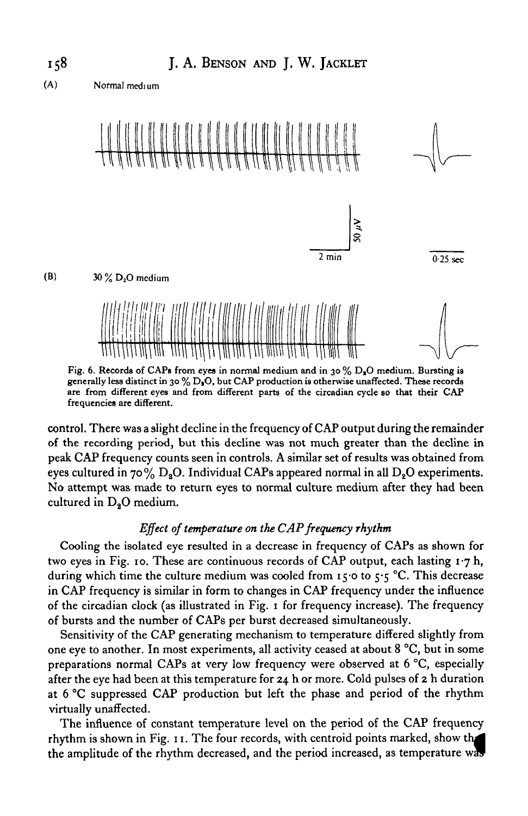

(A) **Normal medium**



Fig. 6. Records of CAPs from eyes in normal medium and in 30 % D<sub>3</sub>O medium. Bursting is generally less distinct in 30 % D<sub>1</sub>O, but CAP production is otherwise unaffected. These records **are from different eyes and from different parts of the circadian cycle so that their CAP frequencies are different.**

control. There was a slight decline in the frequency of CAP output during the remainder of the recording period, but this decline was not much greater than the decline in peak CAP frequency counts seen in controls. A similar set of results was obtained from eyes cultured in 70%  $D_2O$ . Individual CAPs appeared normal in all  $D_2O$  experiments. No attempt was made to return eyes to normal culture medium after they had been cultured in  $D<sub>2</sub>O$  medium.

## *Effect of temperature on the CAP frequency rhythm*

Cooling the isolated eye resulted in a decrease in frequency of CAPs as shown for two eyes in Fig. 10. These are continuous records of CAP output, each lasting 1-7 h, during which time the culture medium was cooled from 15.0 to  $5.5$  °C. This decrease in CAP frequency is similar in form to changes in CAP frequency under the influence of the circadian clock (as illustrated in Fig. 1 for frequency increase). The frequency of bursts and the number of CAPs per burst decreased simultaneously.

Sensitivity of the CAP generating mechanism to temperature differed slightly from one eye to another. In most experiments, all activity ceased at about 8 °C, but in some preparations normal CAPs at very low frequency were observed at 6 °C, especially after the eye had been at this temperature for 24 h or more. Cold pulses of 2 h duration at 6 °C suppressed CAP production but left the phase and period of the rhythm virtually unaffected.

The influence of constant temperature level on the period of the CAP frequency rhythm is shown in Fig. 11. The four records, with centroid points marked, show the amplitude of the rhythm decreased, and the period increased, as temperature wa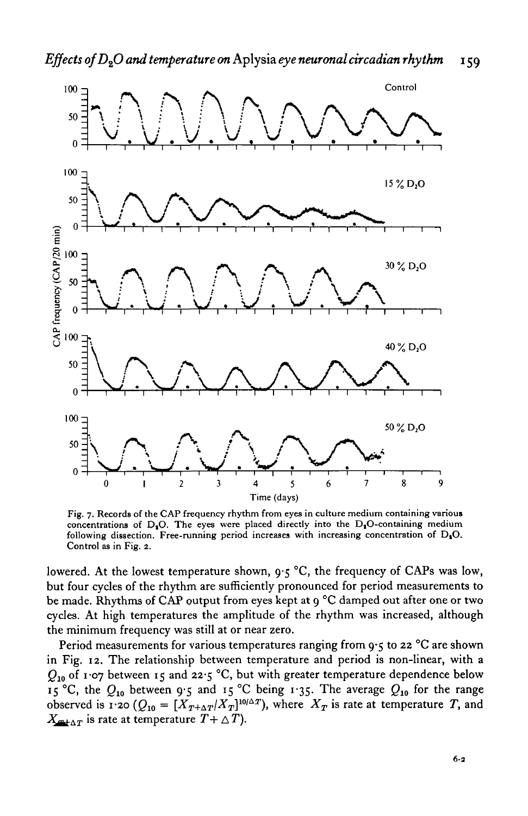

Fig. 7. Records of the CAP frequency rhythm from eyes in culture medium containing various concentrations of  $D_1O$ . The eyes were placed directly into the  $D_2O$ -containing medium following dissection. Free-running period increases with increasing concentration of  $D_2O$ . Control as in Fig. 2.

lowered. At the lowest temperature shown, 9-5 °C, the frequency of CAPs was low, but four cycles of the rhythm are sufficiently pronounced for period measurements to be made. Rhythms of CAP output from eyes kept at 9 °C damped out after one or two cycles. At high temperatures the amplitude of the rhythm was increased, although the minimum frequency was still at or near zero.

Period measurements for various temperatures ranging from  $9.5$  to 22 °C are shown in Fig. 12. The relationship between temperature and period is non-linear, with a *Q10* of 1-07 between 15 and 22-5 °C, but with greater temperature dependence below 15 °C, the *Q10* between 9-5 and 15 °C being 1-35. The average *Q10* for the range observed is 1.20 ( $Q_{10} = [X_{T+\Delta T}/X_T]^{10/\Delta T}$ ), where  $X_T$  is rate at temperature T, and  $X_{m+\Delta T}$  is rate at temperature  $T+\Delta T$ ).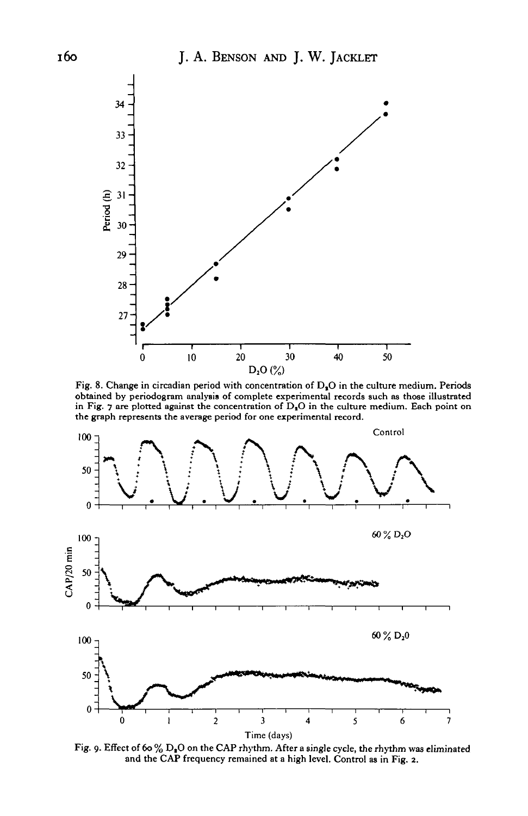

Fig. 8. Change in circadian period with concentration of  $D<sub>n</sub>O$  in the culture medium. Periods obtained by periodogram analysis of complete experimental records such as those illustrated in Fig. 7 are plotted against the concentration of *G,O* in the culture medium. Each point on the graph represents the average period for one experimental record.



Fig. 9. Effect of 60%  $D_{\bf s}O$  on the CAP rhythm. After a single cycle, the rhythm was eliminated and the CAP frequency remained at a high level. Control as in Fig. 2.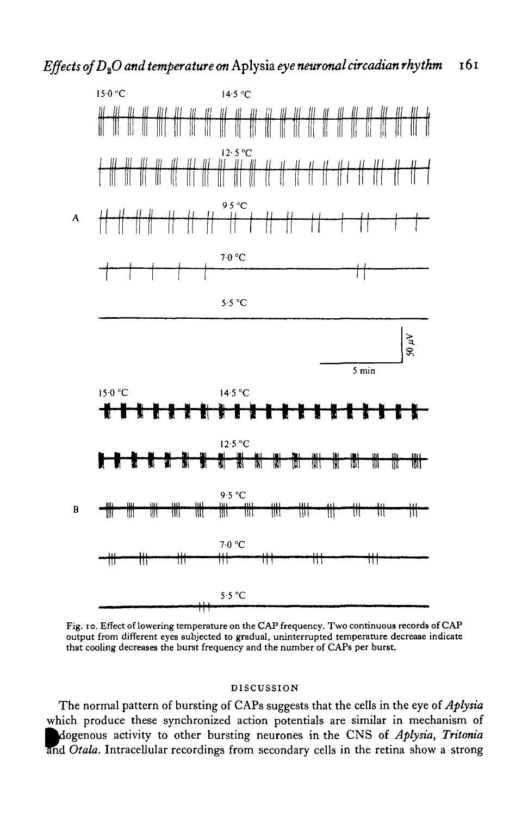

Fig. 10. Effect of lowering temperature on the CAP frequency. Two continuous records of CAP output from different eyes subjected to gradual, uninterrupted temperature decrease indicate that cooling decreases the burst frequency and the number of CAPs per burst.

### DISCUSSION

The normal pattern of bursting of CAPs suggests that the cells in the eye of *Aplysia* which produce these synchronized action potentials are similar in mechanism of ^dogenous activity to other bursting neurones in the CNS of *Aplysia, Tritoma* and *Otala*. Intracellular recordings from secondary cells in the retina show a strong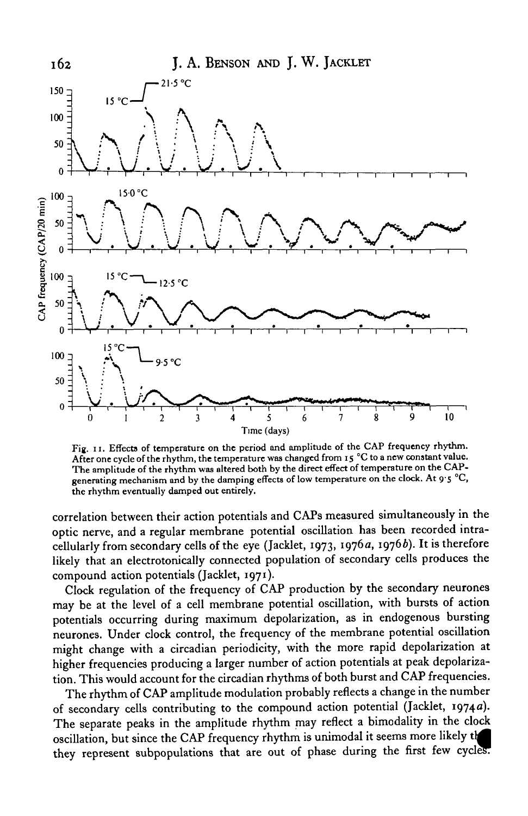

Fig. 11. Effects of temperature on the period and amplitude of the CAP frequency rhythm. After one cycle of the rhythm, the temperature was changed from 15 °C to a new constant value. The amplitude of the rhythm was altered both by the direct effect of temperature on the CAPgenerating mechanism and by the damping effects of low temperature on the clock. At 9.5 °C, the rhythm eventually damped out entirely.

correlation between their action potentials and CAPs measured simultaneously in the optic nerve, and a regular membrane potential oscillation has been recorded intracellularly from secondary cells of the eye (Jacklet, 1973, 1976 a, 19766). It is therefore likely that an electrotonically connected population of secondary cells produces the compound action potentials (Jacklet, 1971).

Clock regulation of the frequency of CAP production by the secondary neurones may be at the level of a cell membrane potential oscillation, with bursts of action potentials occurring during maximum depolarization, as in endogenous bursting neurones. Under clock control, the frequency of the membrane potential oscillation might change with a circadian periodicity, with the more rapid depolarization at higher frequencies producing a larger number of action potentials at peak depolarization. This would account for the circadian rhythms of both burst and CAP frequencies.

The rhythm of CAP amplitude modulation probably reflects a change in the number of secondary cells contributing to the compound action potential (Jacklet, 19740). The separate peaks in the amplitude rhythm may reflect a bimodality in the clock oscillation, but since the CAP frequency rhythm is unimodal it seems more likely *t\M* they represent subpopulations that are out of phase during the first few cycles.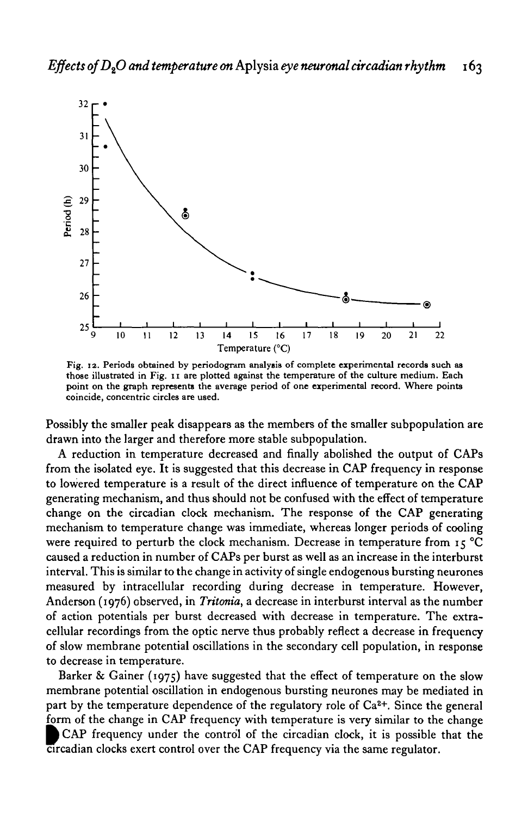

**Fig. 12. Periods obtained by periodogram analysis of complete experimental records such as those illustrated in Fig. 11 are plotted against the temperature of the culture medium. Each point on the graph represents the average period of one experimental record. Where points coincide, concentric circles are used.**

Possibly the smaller peak disappears as the members of the smaller subpopulation are drawn into the larger and therefore more stable subpopulation.

A reduction in temperature decreased and finally abolished the output of CAPs from the isolated eye. It is suggested that this decrease in CAP frequency in response to lowered temperature is a result of the direct influence of temperature on the CAP generating mechanism, and thus should not be confused with the effect of temperature change on the circadian clock mechanism. The response of the CAP generating mechanism to temperature change was immediate, whereas longer periods of cooling were required to perturb the clock mechanism. Decrease in temperature from 15 °C caused a reduction in number of CAPs per burst as well as an increase in the interburst interval. This is similar to the change in activity of single endogenous bursting neurones measured by intracellular recording during decrease in temperature. However, Anderson (1976) observed, in *Tritonia,* a decrease in interburst interval as the number of action potentials per burst decreased with decrease in temperature. The extracellular recordings from the optic nerve thus probably reflect a decrease in frequency of slow membrane potential oscillations in the secondary cell population, in response to decrease in temperature.

Barker & Gainer (1975) have suggested that the effect of temperature on the slow membrane potential oscillation in endogenous bursting neurones may be mediated in part by the temperature dependence of the regulatory role of  $Ca<sup>2+</sup>$ . Since the general form of the change in CAP frequency with temperature is very similar to the change CAP frequency under the control of the circadian clock, it is possible that the circadian clocks exert control over the CAP frequency via the same regulator.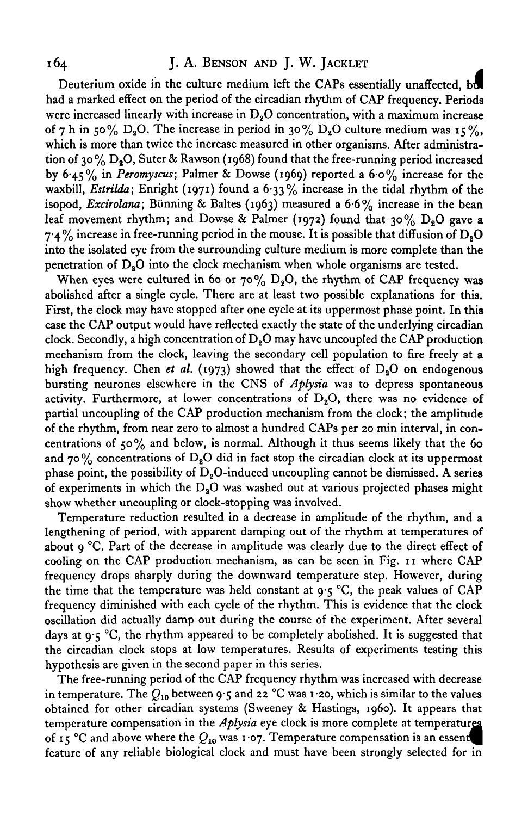# 164 J. A. BENSON AND J. W. JACKLET

Deuterium oxide in the culture medium left the CAPs essentially unaffected, **bol** had a marked effect on the period of the circadian rhythm of CAP frequency. Periods were increased linearly with increase in  $D<sub>2</sub>O$  concentration, with a maximum increase of 7 h in 50%  $D_8O$ . The increase in period in 30%  $D_8O$  culture medium was 15%, which is more than twice the increase measured in other organisms. After administration of 30% D.O. Suter & Rawson (1968) found that the free-running period increased by 6-45% in *Peromyscus;* Palmer & Dowse (1969) reported a 6-0% increase for the waxbill, *Estrilda*; Enright (1971) found a 6.33% increase in the tidal rhythm of the isopod, *Excirolana;* Biinning & Baltes (1963) measured a 6-6% increase in the bean leaf movement rhythm; and Dowse & Palmer (1972) found that 30%  $D_2O$  gave a 7.4% increase in free-running period in the mouse. It is possible that diffusion of  $D_2O$ into the isolated eye from the surrounding culture medium is more complete than the penetration of  $D<sub>a</sub>O$  into the clock mechanism when whole organisms are tested.

When eyes were cultured in 60 or 70%  $D_8O$ , the rhythm of CAP frequency was abolished after a single cycle. There are at least two possible explanations for this. First, the clock may have stopped after one cycle at its uppermost phase point. In this case the CAP output would have reflected exactly the state of the underlying circadian clock. Secondly, a high concentration of  $D<sub>2</sub>O$  may have uncoupled the CAP production mechanism from the clock, leaving the secondary cell population to fire freely at a high frequency. Chen *et al.* (1973) showed that the effect of  $D_2O$  on endogenous bursting neurones elsewhere in the CNS of *Aplysia* was to depress spontaneous activity. Furthermore, at lower concentrations of  $D<sub>2</sub>O$ , there was no evidence of partial uncoupling of the CAP production mechanism from the clock; the amplitude of the rhythm, from near zero to almost a hundred CAPs per 20 min interval, in concentrations of  $50\%$  and below, is normal. Although it thus seems likely that the 60 and 70% concentrations of  $D_8O$  did in fact stop the circadian clock at its uppermost phase point, the possibility of  $D_2O$ -induced uncoupling cannot be dismissed. A series of experiments in which the  $D<sub>2</sub>O$  was washed out at various projected phases might show whether uncoupling or clock-stopping was involved.

Temperature reduction resulted in a decrease in amplitude of the rhythm, and a lengthening of period, with apparent damping out of the rhythm at temperatures of about  $g^{\circ}C$ . Part of the decrease in amplitude was clearly due to the direct effect of cooling on the CAP production mechanism, as can be seen in Fig. 11 where CAP frequency drops sharply during the downward temperature step. However, during the time that the temperature was held constant at  $9.5$  °C, the peak values of CAP frequency diminished with each cycle of the rhythm. This is evidence that the clock oscillation did actually damp out during the course of the experiment. After several days at  $9.5$  °C, the rhythm appeared to be completely abolished. It is suggested that the circadian clock stops at low temperatures. Results of experiments testing this hypothesis are given in the second paper in this series.

The free-running period of the CAP frequency rhythm was increased with decrease in temperature. The  $Q_{10}$  between 9.5 and 22 °C was 1.20, which is similar to the values obtained for other circadian systems (Sweeney & Hastings, i960). It appears that temperature compensation in the *Aplysia* eye clock is more complete at temperatures of 15 °C and above where the  $Q_{10}$  was 1.07. Temperature compensation is an essent feature of any reliable biological clock and must have been strongly selected for in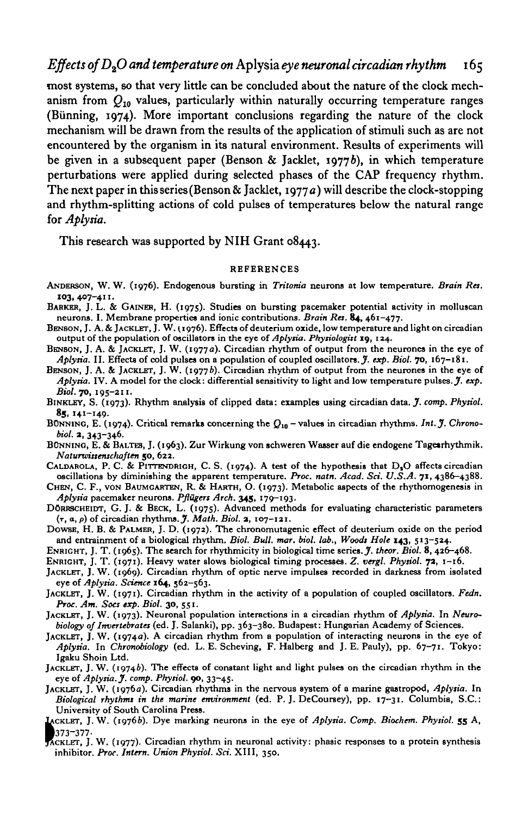## *Effects ofD2O and temperature on* Aplysia *eye neuronal circadian rhythm* 165

most systems, so that very little can be concluded about the nature of the clock mechanism from *Q10* values, particularly within naturally occurring temperature ranges (Biinning, 1974). More important conclusions regarding the nature of the clock mechanism will be drawn from the results of the application of stimuli such as are not encountered by the organism in its natural environment. Results of experiments will be given in a subsequent paper (Benson & Jacklet, 1977b), in which temperature perturbations were applied during selected phases of the CAP frequency rhythm. The next paper in this series (Benson & Jacklet, 1977  $a$ ) will describe the clock-stopping and rhythm-splitting actions of cold pulses of temperatures below the natural range for *Aplysia.*

This research was supported by NIH Grant 08443.

#### REFERENCES

- ANDERSON, W. W. (1976). Endogenous bursting in *Tritom'a* neurons at low temperature. *Brain Res.* **103,407-411.**
- BARKER, J. L. & GAINER, H. (1975). Studies on bursting pacemaker potential activity in molluscan neurons. I. Membrane properties and ionic contributions. Brain Res. 84, 461-477.
- BENSON, J. A. & JACKLET, J. W. (1976). Effects of deuterium oxide, low temperature and light on circadian<br>output of the population of oscillators in the eye of *Aplysia. Physiologist* 19, 124.<br>BENSON, J. A. & JACKLET, J.
- 
- BENSON, J. A. & JACKLET, J. W. (1977b). Circadian rhythm of output from the neurones in the eye of *Aplysia.* IV. A model for the clock: differential sensitivity to light and low temperature pulses. J. *exp.*
- *Biol.* 70, 195-211. BINKLEY, S. (1973). Rhythm analysis of clipped data: examples using circadian data. *J. comp. Physiol.*
- 85, 141-149.<br>BONNINO, E. (1974). Critical remarks concerning the Q<sub>10</sub> values in circadian rhythms. *Int. J. Chronobiol.* 2, 343-346.<br>BÜNNING, E. & BALTES, J. (1963). Zur Wirkung von schweren Wasser auf die endogene Tagesrhythmik.
- 
- Naturwissenschaften 50, 622.<br>CALDAROLA, P. C. & PITTENDRIGH, C. S. (1974). A test of the hypothesis that D<sub>1</sub>O affects circadian oscillations by diminishing the apparent temperature. *Proc. natn. Acad. Sci. U.S.A.* 71, 438
- 
- DÖRRSCHEIDT, G. J. & BECK, L. (1975). Advanced methods for evaluating characteristic parameters
- ( $\tau$ ,  $\alpha$ ,  $\rho$ ) of circadian rhythms. *J. Math. Biol.* **2**, 107-121.<br>DOWSE, H. B. & PALMER, J. D. (1972). The chronomutagenic effect of deuterium oxide on the period and entrainment of a biological rhythm. *Biol. Bull.*
- ENRIGHT, J. T. (1965). The search for rhythmicity in biological time series. *J. theor. Biol.* 8, 426-468.<br>ENRIGHT, J. T. (1971). Heavy water slows biological timing processes. *Z. vergl. Physiol.* 72, 1-16.
- 
- JACKLET, J. W. (1969). Circadian rhythm of optic nerve impulses recorded in darkness from isolated eye of *Aplysia. Science* **164,** 562-563. JACKLET, J. W. (1971). Circadian rhythm in the activity of a population of coupled oscillators. *Fedn.*
- *Proc. Am. Socs exp. Biol.* 30, 551.<br>JACKLET, J. W. (1973). Neuronal population interactions in a circadian rhythm of *Aplysia*. In Neuro-
- *biology of Invertebrates* (ed. J. Salanki), pp. 363-380. Budapest: Hungarian Academy of Sciences.<br>JACKLET, J. W. (1974a). A circadian rhythm from a population of interacting neurons in the eye of
- *Aplysia.* In *Chronobiology* (ed. L. E. Scheving, F. Halberg and J. E. Pauly), pp. 67-71. Tokyo:
- Igaku Shoin Ltd.<br>JACKLET, J. W. (1974b). The effects of constant light and light pulses on the circadian rhythm in the eye of Aplysia. J. comp. Physiol. 90, 33-45.<br>JACKLET, J. W. (1976a). Circadian rhythms in the nervous
- *Biological rhythms in the marine environment* (ed. P. J. DeCoursey), pp. 17-31. Columbia, S.C.:
- University of South Carolina Press. IACKLET, J. W. (19766). Dye marking neurons in the eye of *Aplysia. Comp. Biochem. Physiol.* **55** A, M73-377-
- ACKLET, J. W. (1977). Circadian rhythm in neuronal activity: phasic responses to a protein synthesis inhibitor. *Proc. Intern. Union Physiol. Sci.* XIII, 350.